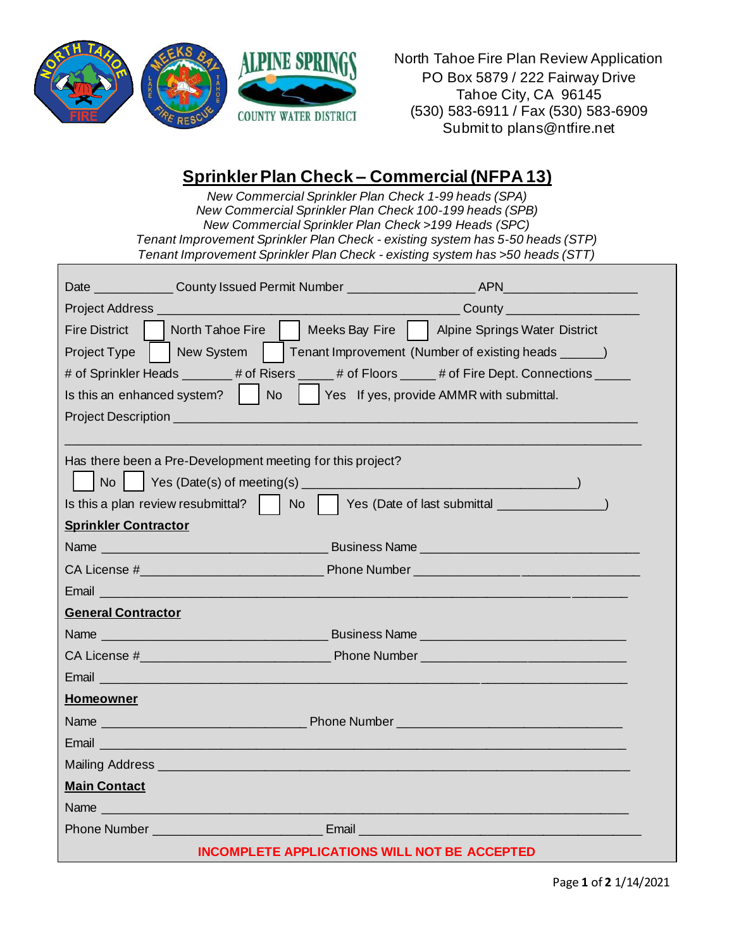

North Tahoe Fire Plan Review Application PO Box 5879 / 222 Fairway Drive Tahoe City, CA 96145 (530) 583-6911 / Fax (530) 583-6909 Submit to plans@ntfire.net

## **Sprinkler Plan Check – Commercial (NFPA 13)**

*New Commercial Sprinkler Plan Check 1-99 heads (SPA) New Commercial Sprinkler Plan Check 100-199 heads (SPB) New Commercial Sprinkler Plan Check >199 Heads (SPC) Tenant Improvement Sprinkler Plan Check - existing system has 5-50 heads (STP) Tenant Improvement Sprinkler Plan Check - existing system has >50 heads (STT)*

| ______________County ___________________________                                                                        |
|-------------------------------------------------------------------------------------------------------------------------|
| North Tahoe Fire     Meeks Bay Fire     Alpine Springs Water District<br><b>Fire District</b>                           |
| New System<br>Tenant Improvement (Number of existing heads ______)<br>Project Type                                      |
| # of Sprinkler Heads _______# of Risers _____# of Floors _____# of Fire Dept. Connections _____                         |
| Is this an enhanced system?   No<br>Yes If yes, provide AMMR with submittal.                                            |
|                                                                                                                         |
|                                                                                                                         |
| Has there been a Pre-Development meeting for this project?                                                              |
|                                                                                                                         |
|                                                                                                                         |
| <b>Sprinkler Contractor</b>                                                                                             |
|                                                                                                                         |
|                                                                                                                         |
|                                                                                                                         |
| <b>General Contractor</b>                                                                                               |
|                                                                                                                         |
|                                                                                                                         |
| Email 2008 - 2008 - 2008 - 2019 - 2019 - 2019 - 2019 - 2019 - 2019 - 2019 - 2019 - 2019 - 2019 - 2019 - 2019 -          |
| <b>Homeowner</b>                                                                                                        |
|                                                                                                                         |
| Email and the contract of the contract of the contract of the contract of the contract of the contract of               |
|                                                                                                                         |
| <b>Main Contact</b>                                                                                                     |
| Name and the contract of the contract of the contract of the contract of the contract of                                |
| <b>Phone Number Community Community Community Community Community Community Community Community Community Community</b> |
| <b>INCOMPLETE APPLICATIONS WILL NOT BE ACCEPTED</b>                                                                     |

Page **1** of **2** 1/14/2021